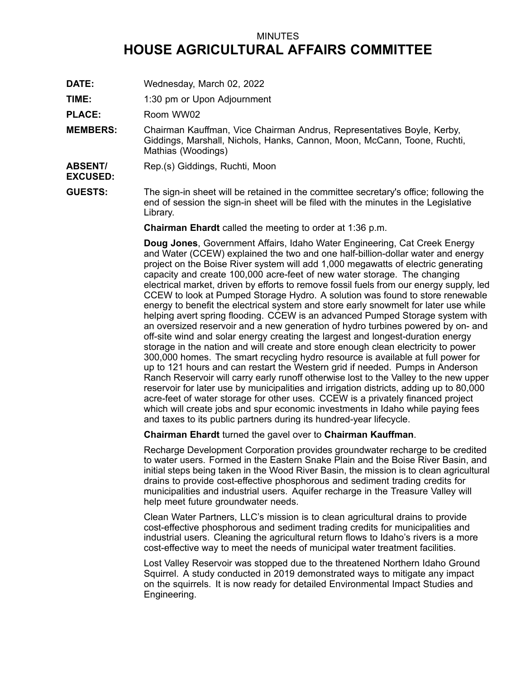## MINUTES **HOUSE AGRICULTURAL AFFAIRS COMMITTEE**

- **DATE:** Wednesday, March 02, 2022
- **TIME:** 1:30 pm or Upon Adjournment

PLACE: Room WW02

- **MEMBERS:** Chairman Kauffman, Vice Chairman Andrus, Representatives Boyle, Kerby, Giddings, Marshall, Nichols, Hanks, Cannon, Moon, McCann, Toone, Ruchti, Mathias (Woodings)
- **ABSENT/** Rep.(s) Giddings, Ruchti, Moon

**EXCUSED:**

**GUESTS:** The sign-in sheet will be retained in the committee secretary's office; following the end of session the sign-in sheet will be filed with the minutes in the Legislative Library.

**Chairman Ehardt** called the meeting to order at 1:36 p.m.

**Doug Jones**, Government Affairs, Idaho Water Engineering, Cat Creek Energy and Water (CCEW) explained the two and one half-billion-dollar water and energy project on the Boise River system will add 1,000 megawatts of electric generating capacity and create 100,000 acre-feet of new water storage. The changing electrical market, driven by efforts to remove fossil fuels from our energy supply, led CCEW to look at Pumped Storage Hydro. A solution was found to store renewable energy to benefit the electrical system and store early snowmelt for later use while helping avert spring flooding. CCEW is an advanced Pumped Storage system with an oversized reservoir and <sup>a</sup> new generation of hydro turbines powered by on- and off-site wind and solar energy creating the largest and longest-duration energy storage in the nation and will create and store enough clean electricity to power 300,000 homes. The smart recycling hydro resource is available at full power for up to 121 hours and can restart the Western grid if needed. Pumps in Anderson Ranch Reservoir will carry early runoff otherwise lost to the Valley to the new upper reservoir for later use by municipalities and irrigation districts, adding up to 80,000 acre-feet of water storage for other uses. CCEW is <sup>a</sup> privately financed project which will create jobs and spur economic investments in Idaho while paying fees and taxes to its public partners during its hundred-year lifecycle.

**Chairman Ehardt** turned the gavel over to **Chairman Kauffman**.

Recharge Development Corporation provides groundwater recharge to be credited to water users. Formed in the Eastern Snake Plain and the Boise River Basin, and initial steps being taken in the Wood River Basin, the mission is to clean agricultural drains to provide cost-effective phosphorous and sediment trading credits for municipalities and industrial users. Aquifer recharge in the Treasure Valley will help meet future groundwater needs.

Clean Water Partners, LLC's mission is to clean agricultural drains to provide cost-effective phosphorous and sediment trading credits for municipalities and industrial users. Cleaning the agricultural return flows to Idaho's rivers is <sup>a</sup> more cost-effective way to meet the needs of municipal water treatment facilities.

Lost Valley Reservoir was stopped due to the threatened Northern Idaho Ground Squirrel. A study conducted in 2019 demonstrated ways to mitigate any impact on the squirrels. It is now ready for detailed Environmental Impact Studies and Engineering.